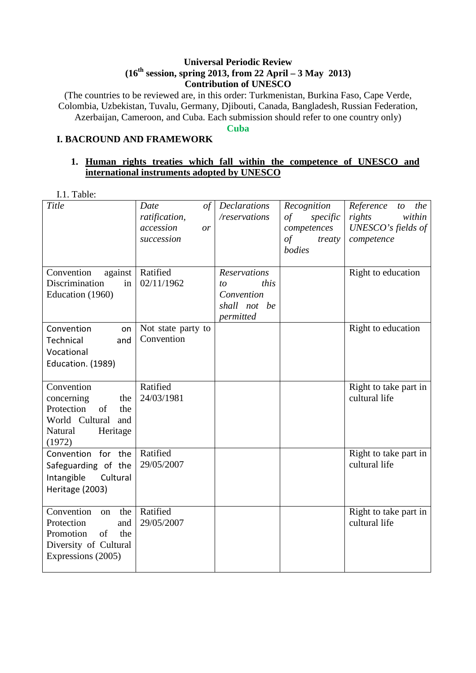### **Universal Periodic Review (16th session, spring 2013, from 22 April – 3 May 2013) Contribution of UNESCO**

(The countries to be reviewed are, in this order: Turkmenistan, Burkina Faso, Cape Verde, Colombia, Uzbekistan, Tuvalu, Germany, Djibouti, Canada, Bangladesh, Russian Federation, Azerbaijan, Cameroon, and Cuba. Each submission should refer to one country only)

**Cuba** 

# **I. BACROUND AND FRAMEWORK**

## **1. Human rights treaties which fall within the competence of UNESCO and international instruments adopted by UNESCO**

I.1. Table:

| Title                                                                                                                 | Date<br>$\sigma f$<br>ratification,<br>accession<br>or<br>succession | <b>Declarations</b><br>/reservations                                         | Recognition<br>of<br>specific<br>competences<br>of<br>treaty<br>bodies | Reference<br>the<br>to<br>rights<br>within<br>UNESCO's fields of<br>competence |
|-----------------------------------------------------------------------------------------------------------------------|----------------------------------------------------------------------|------------------------------------------------------------------------------|------------------------------------------------------------------------|--------------------------------------------------------------------------------|
| Convention<br>against<br>Discrimination<br>in<br>Education (1960)                                                     | Ratified<br>02/11/1962                                               | <b>Reservations</b><br>this<br>to<br>Convention<br>shall not be<br>permitted |                                                                        | Right to education                                                             |
| Convention<br>on<br>Technical<br>and<br>Vocational<br>Education. (1989)                                               | Not state party to<br>Convention                                     |                                                                              |                                                                        | Right to education                                                             |
| Convention<br>concerning<br>the<br>Protection<br>of<br>the<br>World Cultural<br>and<br>Heritage<br>Natural<br>(1972)  | Ratified<br>24/03/1981                                               |                                                                              |                                                                        | Right to take part in<br>cultural life                                         |
| Convention for the<br>Safeguarding of the<br>Intangible<br>Cultural<br>Heritage (2003)                                | Ratified<br>29/05/2007                                               |                                                                              |                                                                        | Right to take part in<br>cultural life                                         |
| Convention<br>the<br>on<br>Protection<br>and<br>of<br>Promotion<br>the<br>Diversity of Cultural<br>Expressions (2005) | Ratified<br>29/05/2007                                               |                                                                              |                                                                        | Right to take part in<br>cultural life                                         |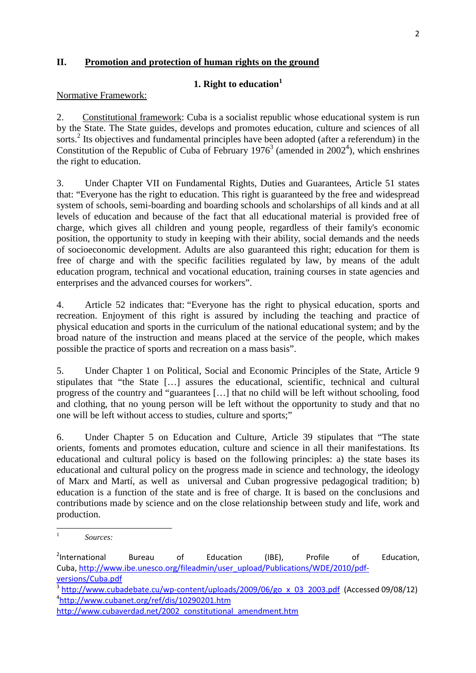### **II. Promotion and protection of human rights on the ground**

## **1. Right to education<sup>1</sup>**

#### Normative Framework:

2. Constitutional framework: Cuba is a socialist republic whose educational system is run by the State. The State guides, develops and promotes education, culture and sciences of all sorts.<sup>2</sup> Its objectives and fundamental principles have been adopted (after a referendum) in the Constitution of the Republic of Cuba of February  $1976<sup>3</sup>$  (amended in  $2002<sup>4</sup>$ ), which enshrines the right to education.

3. Under Chapter VII on Fundamental Rights, Duties and Guarantees, Article 51 states that: "Everyone has the right to education. This right is guaranteed by the free and widespread system of schools, semi-boarding and boarding schools and scholarships of all kinds and at all levels of education and because of the fact that all educational material is provided free of charge, which gives all children and young people, regardless of their family's economic position, the opportunity to study in keeping with their ability, social demands and the needs of socioeconomic development. Adults are also guaranteed this right; education for them is free of charge and with the specific facilities regulated by law, by means of the adult education program, technical and vocational education, training courses in state agencies and enterprises and the advanced courses for workers".

4. Article 52 indicates that: "Everyone has the right to physical education, sports and recreation. Enjoyment of this right is assured by including the teaching and practice of physical education and sports in the curriculum of the national educational system; and by the broad nature of the instruction and means placed at the service of the people, which makes possible the practice of sports and recreation on a mass basis".

5. Under Chapter 1 on Political, Social and Economic Principles of the State, Article 9 stipulates that "the State […] assures the educational, scientific, technical and cultural progress of the country and "guarantees […] that no child will be left without schooling, food and clothing, that no young person will be left without the opportunity to study and that no one will be left without access to studies, culture and sports;"

6. Under Chapter 5 on Education and Culture, Article 39 stipulates that "The state orients, foments and promotes education, culture and science in all their manifestations. Its educational and cultural policy is based on the following principles: a) the state bases its educational and cultural policy on the progress made in science and technology, the ideology of Marx and Martí, as well as universal and Cuban progressive pedagogical tradition; b) education is a function of the state and is free of charge. It is based on the conclusions and contributions made by science and on the close relationship between study and life, work and production.

 $\overline{a}$ 

<sup>1</sup>  *Sources:* 

<sup>&</sup>lt;sup>2</sup>International International Bureau of Education (IBE), Profile of Education, Cuba, http://www.ibe.unesco.org/fileadmin/user\_upload/Publications/WDE/2010/pdfversions/Cuba.pdf

<sup>&</sup>lt;sup>3</sup> http://www.cubadebate.cu/wp-content/uploads/2009/06/go\_x\_03\_2003.pdf (Accessed 09/08/12) 4 http://www.cubanet.org/ref/dis/10290201.htm

http://www.cubaverdad.net/2002\_constitutional\_amendment.htm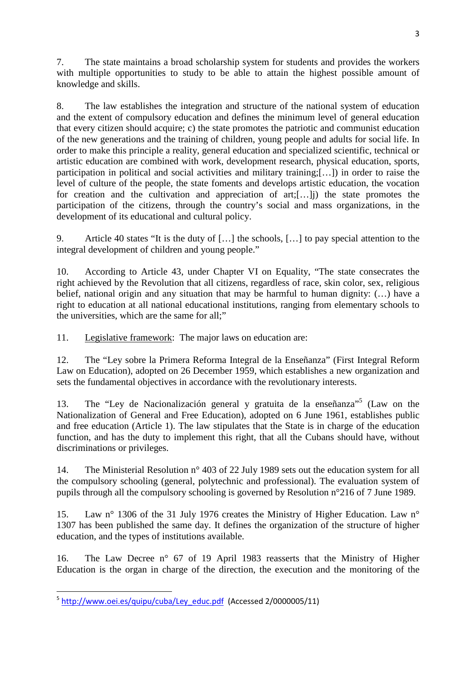7. The state maintains a broad scholarship system for students and provides the workers with multiple opportunities to study to be able to attain the highest possible amount of knowledge and skills.

8. The law establishes the integration and structure of the national system of education and the extent of compulsory education and defines the minimum level of general education that every citizen should acquire; c) the state promotes the patriotic and communist education of the new generations and the training of children, young people and adults for social life. In order to make this principle a reality, general education and specialized scientific, technical or artistic education are combined with work, development research, physical education, sports, participation in political and social activities and military training;[…]) in order to raise the level of culture of the people, the state foments and develops artistic education, the vocation for creation and the cultivation and appreciation of art;[…]j) the state promotes the participation of the citizens, through the country's social and mass organizations, in the development of its educational and cultural policy.

9. Article 40 states "It is the duty of […] the schools, […] to pay special attention to the integral development of children and young people."

10. According to Article 43, under Chapter VI on Equality, "The state consecrates the right achieved by the Revolution that all citizens, regardless of race, skin color, sex, religious belief, national origin and any situation that may be harmful to human dignity: (...) have a right to education at all national educational institutions, ranging from elementary schools to the universities, which are the same for all;"

11. Legislative framework: The major laws on education are:

12. The "Ley sobre la Primera Reforma Integral de la Enseñanza" (First Integral Reform Law on Education), adopted on 26 December 1959, which establishes a new organization and sets the fundamental objectives in accordance with the revolutionary interests.

13. The "Ley de Nacionalización general y gratuita de la enseñanza"<sup>5</sup> (Law on the Nationalization of General and Free Education), adopted on 6 June 1961, establishes public and free education (Article 1). The law stipulates that the State is in charge of the education function, and has the duty to implement this right, that all the Cubans should have, without discriminations or privileges.

14. The Ministerial Resolution n° 403 of 22 July 1989 sets out the education system for all the compulsory schooling (general, polytechnic and professional). The evaluation system of pupils through all the compulsory schooling is governed by Resolution n°216 of 7 June 1989.

15. Law n° 1306 of the 31 July 1976 creates the Ministry of Higher Education. Law n° 1307 has been published the same day. It defines the organization of the structure of higher education, and the types of institutions available.

16. The Law Decree n° 67 of 19 April 1983 reasserts that the Ministry of Higher Education is the organ in charge of the direction, the execution and the monitoring of the

l

<sup>&</sup>lt;sup>5</sup> http://www.oei.es/quipu/cuba/Ley\_educ.pdf (Accessed 2/0000005/11)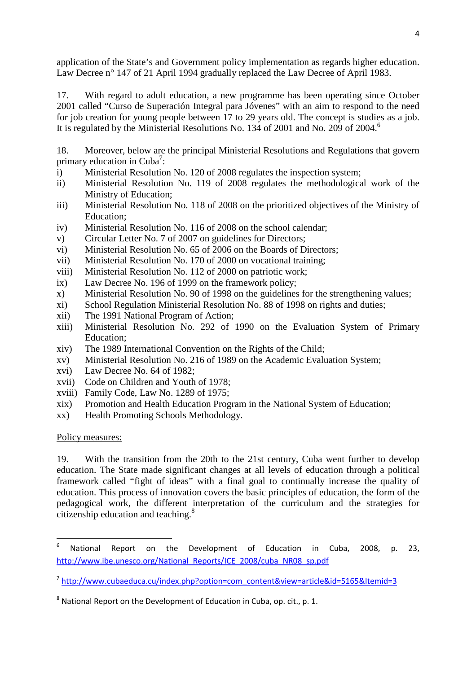application of the State's and Government policy implementation as regards higher education. Law Decree n° 147 of 21 April 1994 gradually replaced the Law Decree of April 1983.

17. With regard to adult education, a new programme has been operating since October 2001 called "Curso de Superación Integral para Jóvenes" with an aim to respond to the need for job creation for young people between 17 to 29 years old. The concept is studies as a job. It is regulated by the Ministerial Resolutions No. 134 of 2001 and No. 209 of 2004.<sup>6</sup>

18. Moreover, below are the principal Ministerial Resolutions and Regulations that govern primary education in Cuba<sup>7</sup>:

- i) Ministerial Resolution No. 120 of 2008 regulates the inspection system;
- ii) Ministerial Resolution No. 119 of 2008 regulates the methodological work of the Ministry of Education;
- iii) Ministerial Resolution No. 118 of 2008 on the prioritized objectives of the Ministry of Education;
- iv) Ministerial Resolution No. 116 of 2008 on the school calendar;
- v) Circular Letter No. 7 of 2007 on guidelines for Directors;
- vi) Ministerial Resolution No. 65 of 2006 on the Boards of Directors;
- vii) Ministerial Resolution No. 170 of 2000 on vocational training;
- viii) Ministerial Resolution No. 112 of 2000 on patriotic work;
- ix) Law Decree No. 196 of 1999 on the framework policy;
- x) Ministerial Resolution No. 90 of 1998 on the guidelines for the strengthening values;
- xi) School Regulation Ministerial Resolution No. 88 of 1998 on rights and duties;
- xii) The 1991 National Program of Action;
- xiii) Ministerial Resolution No. 292 of 1990 on the Evaluation System of Primary Education;
- xiv) The 1989 International Convention on the Rights of the Child;
- xv) Ministerial Resolution No. 216 of 1989 on the Academic Evaluation System;
- xvi) Law Decree No. 64 of 1982;
- xvii) Code on Children and Youth of 1978;
- xviii) Family Code, Law No. 1289 of 1975;
- xix) Promotion and Health Education Program in the National System of Education;
- xx) Health Promoting Schools Methodology.

### Policy measures:

l

19. With the transition from the 20th to the 21st century, Cuba went further to develop education. The State made significant changes at all levels of education through a political framework called "fight of ideas" with a final goal to continually increase the quality of education. This process of innovation covers the basic principles of education, the form of the pedagogical work, the different interpretation of the curriculum and the strategies for citizenship education and teaching.<sup>8</sup>

<sup>6</sup> National Report on the Development of Education in Cuba, 2008, p. 23, http://www.ibe.unesco.org/National\_Reports/ICE\_2008/cuba\_NR08\_sp.pdf

<sup>&</sup>lt;sup>7</sup>http://www.cubaeduca.cu/index.php?option=com\_content&view=article&id=5165&Itemid=3

 $8$  National Report on the Development of Education in Cuba, op. cit., p. 1.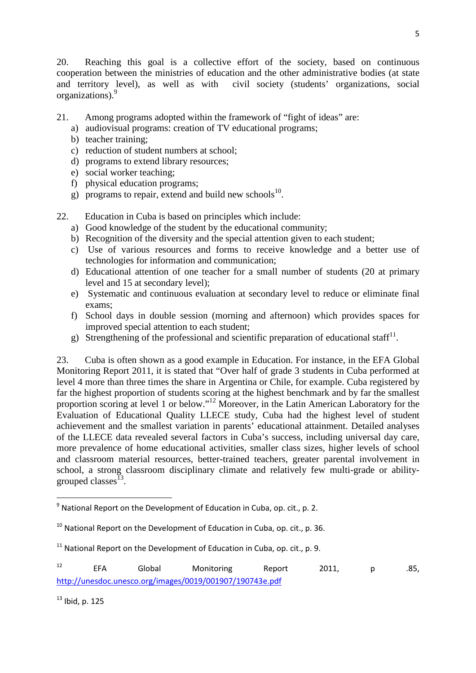20. Reaching this goal is a collective effort of the society, based on continuous cooperation between the ministries of education and the other administrative bodies (at state and territory level), as well as with civil society (students' organizations, social organizations).<sup>9</sup>

- 21. Among programs adopted within the framework of "fight of ideas" are:
	- a) audiovisual programs: creation of TV educational programs;
	- b) teacher training;
	- c) reduction of student numbers at school;
	- d) programs to extend library resources;
	- e) social worker teaching;
	- f) physical education programs;
	- g) programs to repair, extend and build new schools<sup>10</sup>.
- 22. Education in Cuba is based on principles which include:
	- a) Good knowledge of the student by the educational community;
	- b) Recognition of the diversity and the special attention given to each student;
	- c) Use of various resources and forms to receive knowledge and a better use of technologies for information and communication;
	- d) Educational attention of one teacher for a small number of students (20 at primary level and 15 at secondary level);
	- e) Systematic and continuous evaluation at secondary level to reduce or eliminate final exams;
	- f) School days in double session (morning and afternoon) which provides spaces for improved special attention to each student;
	- g) Strengthening of the professional and scientific preparation of educational staff<sup>11</sup>.

23. Cuba is often shown as a good example in Education. For instance, in the EFA Global Monitoring Report 2011, it is stated that "Over half of grade 3 students in Cuba performed at level 4 more than three times the share in Argentina or Chile, for example. Cuba registered by far the highest proportion of students scoring at the highest benchmark and by far the smallest proportion scoring at level 1 or below."<sup>12</sup> Moreover, in the Latin American Laboratory for the Evaluation of Educational Quality LLECE study, Cuba had the highest level of student achievement and the smallest variation in parents' educational attainment. Detailed analyses of the LLECE data revealed several factors in Cuba's success, including universal day care, more prevalence of home educational activities, smaller class sizes, higher levels of school and classroom material resources, better-trained teachers, greater parental involvement in school, a strong classroom disciplinary climate and relatively few multi-grade or abilitygrouped classes<sup>13</sup>.

 $13$  Ibid, p. 125

 $9$  National Report on the Development of Education in Cuba, op. cit., p. 2.

 $10$  National Report on the Development of Education in Cuba, op. cit., p. 36.

 $11$  National Report on the Development of Education in Cuba, op. cit., p. 9.

<sup>12</sup> EFA Global Monitoring Report 2011, p .85, http://unesdoc.unesco.org/images/0019/001907/190743e.pdf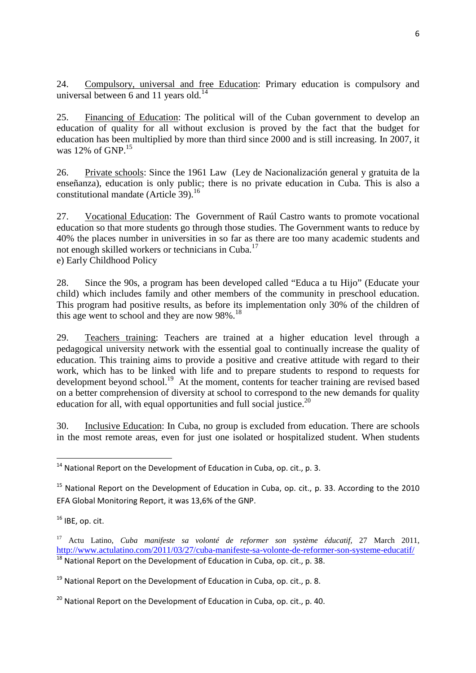24. Compulsory, universal and free Education: Primary education is compulsory and universal between 6 and 11 years old.<sup>14</sup>

25. Financing of Education: The political will of the Cuban government to develop an education of quality for all without exclusion is proved by the fact that the budget for education has been multiplied by more than third since 2000 and is still increasing. In 2007, it was 12% of  $GNP<sup>15</sup>$ 

26. Private schools: Since the 1961 Law (Ley de Nacionalización general y gratuita de la enseñanza), education is only public; there is no private education in Cuba. This is also a constitutional mandate (Article 39).<sup>16</sup>

27. Vocational Education: The Government of Raúl Castro wants to promote vocational education so that more students go through those studies. The Government wants to reduce by 40% the places number in universities in so far as there are too many academic students and not enough skilled workers or technicians in Cuba.<sup>17</sup> e) Early Childhood Policy

28. Since the 90s, a program has been developed called "Educa a tu Hijo" (Educate your child) which includes family and other members of the community in preschool education. This program had positive results, as before its implementation only 30% of the children of this age went to school and they are now 98%.<sup>18</sup>

29. Teachers training: Teachers are trained at a higher education level through a pedagogical university network with the essential goal to continually increase the quality of education. This training aims to provide a positive and creative attitude with regard to their work, which has to be linked with life and to prepare students to respond to requests for development beyond school.<sup>19</sup> At the moment, contents for teacher training are revised based on a better comprehension of diversity at school to correspond to the new demands for quality education for all, with equal opportunities and full social justice. $20$ 

30. Inclusive Education: In Cuba, no group is excluded from education. There are schools in the most remote areas, even for just one isolated or hospitalized student. When students

 $16$  IBE, op. cit.

l

 $14$  National Report on the Development of Education in Cuba, op. cit., p. 3.

<sup>&</sup>lt;sup>15</sup> National Report on the Development of Education in Cuba, op. cit., p. 33. According to the 2010 EFA Global Monitoring Report, it was 13,6% of the GNP.

<sup>17</sup> Actu Latino, *Cuba manifeste sa volonté de reformer son système éducatif,* 27 March 2011, http://www.actulatino.com/2011/03/27/cuba-manifeste-sa-volonte-de-reformer-son-systeme-educatif/  $18$  National Report on the Development of Education in Cuba, op. cit., p. 38.

 $19$  National Report on the Development of Education in Cuba, op. cit., p. 8.

 $^{20}$  National Report on the Development of Education in Cuba, op. cit., p. 40.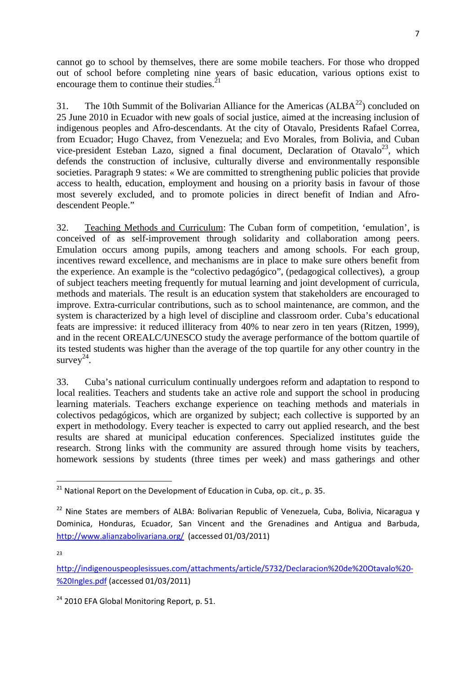cannot go to school by themselves, there are some mobile teachers. For those who dropped out of school before completing nine years of basic education, various options exist to encourage them to continue their studies. $^{21}$ 

31. The 10th Summit of the Bolivarian Alliance for the Americas ( $ALBA<sup>22</sup>$ ) concluded on 25 June 2010 in Ecuador with new goals of social justice, aimed at the increasing inclusion of indigenous peoples and Afro-descendants. At the city of Otavalo, Presidents Rafael Correa, from Ecuador; Hugo Chavez, from Venezuela; and Evo Morales, from Bolivia, and Cuban vice-president Esteban Lazo, signed a final document, Declaration of Otavalo<sup>23</sup>, which defends the construction of inclusive, culturally diverse and environmentally responsible societies. Paragraph 9 states: « We are committed to strengthening public policies that provide access to health, education, employment and housing on a priority basis in favour of those most severely excluded, and to promote policies in direct benefit of Indian and Afrodescendent People."

32. Teaching Methods and Curriculum: The Cuban form of competition, 'emulation', is conceived of as self-improvement through solidarity and collaboration among peers. Emulation occurs among pupils, among teachers and among schools. For each group, incentives reward excellence, and mechanisms are in place to make sure others benefit from the experience. An example is the "colectivo pedagógico", (pedagogical collectives), a group of subject teachers meeting frequently for mutual learning and joint development of curricula, methods and materials. The result is an education system that stakeholders are encouraged to improve. Extra-curricular contributions, such as to school maintenance, are common, and the system is characterized by a high level of discipline and classroom order. Cuba's educational feats are impressive: it reduced illiteracy from 40% to near zero in ten years (Ritzen, 1999), and in the recent OREALC/UNESCO study the average performance of the bottom quartile of its tested students was higher than the average of the top quartile for any other country in the survey $2^4$ .

33. Cuba's national curriculum continually undergoes reform and adaptation to respond to local realities. Teachers and students take an active role and support the school in producing learning materials. Teachers exchange experience on teaching methods and materials in colectivos pedagógicos, which are organized by subject; each collective is supported by an expert in methodology. Every teacher is expected to carry out applied research, and the best results are shared at municipal education conferences. Specialized institutes guide the research. Strong links with the community are assured through home visits by teachers, homework sessions by students (three times per week) and mass gatherings and other

 $\overline{a}$ 

 $21$  National Report on the Development of Education in Cuba, op. cit., p. 35.

 $22$  Nine States are members of ALBA: Bolivarian Republic of Venezuela, Cuba, Bolivia, Nicaragua y Dominica, Honduras, Ecuador, San Vincent and the Grenadines and Antigua and Barbuda, http://www.alianzabolivariana.org/ (accessed 01/03/2011)

 $2<sub>2</sub>$ 

http://indigenouspeoplesissues.com/attachments/article/5732/Declaracion%20de%20Otavalo%20- %20Ingles.pdf (accessed 01/03/2011)

<sup>&</sup>lt;sup>24</sup> 2010 EFA Global Monitoring Report, p. 51.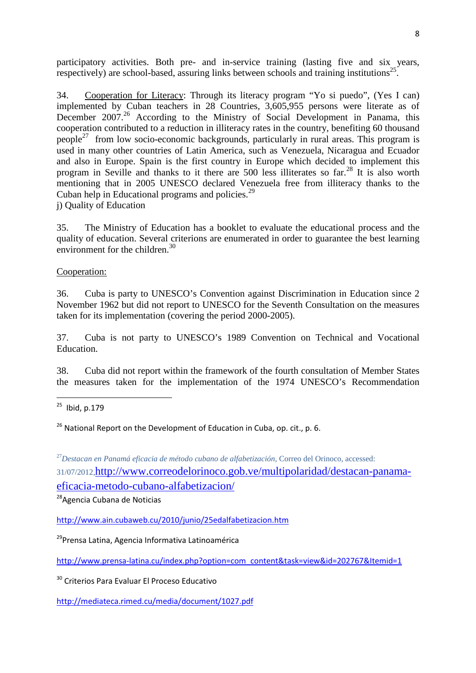participatory activities. Both pre- and in-service training (lasting five and six years, respectively) are school-based, assuring links between schools and training institutions<sup>25</sup>.

34. Cooperation for Literacy: Through its literacy program "Yo si puedo", (Yes I can) implemented by Cuban teachers in 28 Countries, 3,605,955 persons were literate as of December 2007.<sup>26</sup> According to the Ministry of Social Development in Panama, this cooperation contributed to a reduction in illiteracy rates in the country, benefiting 60 thousand people<sup>27</sup> from low socio-economic backgrounds, particularly in rural areas. This program is used in many other countries of Latin America, such as Venezuela, Nicaragua and Ecuador and also in Europe. Spain is the first country in Europe which decided to implement this program in Seville and thanks to it there are 500 less illiterates so  $\ar{f}^{28}$  It is also worth mentioning that in 2005 UNESCO declared Venezuela free from illiteracy thanks to the Cuban help in Educational programs and policies.<sup>29</sup> j) Quality of Education

35. The Ministry of Education has a booklet to evaluate the educational process and the quality of education. Several criterions are enumerated in order to guarantee the best learning environment for the children.<sup>30</sup>

### Cooperation:

36. Cuba is party to UNESCO's Convention against Discrimination in Education since 2 November 1962 but did not report to UNESCO for the Seventh Consultation on the measures taken for its implementation (covering the period 2000-2005).

37. Cuba is not party to UNESCO's 1989 Convention on Technical and Vocational Education.

38. Cuba did not report within the framework of the fourth consultation of Member States the measures taken for the implementation of the 1974 UNESCO's Recommendation

 $\overline{a}$ 

 $26$  National Report on the Development of Education in Cuba, op. cit., p. 6.

<sup>27</sup>*Destacan en Panamá eficacia de método cubano de alfabetización,* Correo del Orinoco, accessed: 31/07/2012,http://www.correodelorinoco.gob.ve/multipolaridad/destacan-panama-

eficacia-metodo-cubano-alfabetizacion/

<sup>28</sup>Agencia Cubana de Noticias

http://www.ain.cubaweb.cu/2010/junio/25edalfabetizacion.htm

<sup>29</sup>Prensa Latina, Agencia Informativa Latinoamérica

http://www.prensa-latina.cu/index.php?option=com\_content&task=view&id=202767&Itemid=1

<sup>30</sup> Criterios Para Evaluar El Proceso Educativo

http://mediateca.rimed.cu/media/document/1027.pdf

 $25$  Ibid, p.179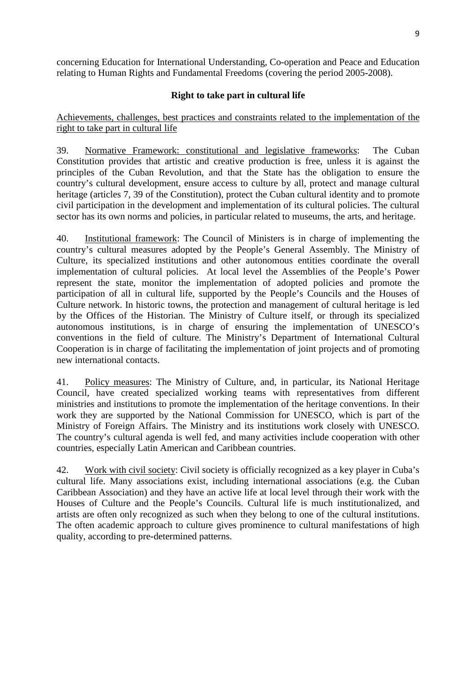concerning Education for International Understanding, Co-operation and Peace and Education relating to Human Rights and Fundamental Freedoms (covering the period 2005-2008).

## **Right to take part in cultural life**

Achievements, challenges, best practices and constraints related to the implementation of the right to take part in cultural life

39. Normative Framework: constitutional and legislative frameworks: The Cuban Constitution provides that artistic and creative production is free, unless it is against the principles of the Cuban Revolution, and that the State has the obligation to ensure the country's cultural development, ensure access to culture by all, protect and manage cultural heritage (articles 7, 39 of the Constitution), protect the Cuban cultural identity and to promote civil participation in the development and implementation of its cultural policies. The cultural sector has its own norms and policies, in particular related to museums, the arts, and heritage.

40. Institutional framework: The Council of Ministers is in charge of implementing the country's cultural measures adopted by the People's General Assembly. The Ministry of Culture, its specialized institutions and other autonomous entities coordinate the overall implementation of cultural policies. At local level the Assemblies of the People's Power represent the state, monitor the implementation of adopted policies and promote the participation of all in cultural life, supported by the People's Councils and the Houses of Culture network. In historic towns, the protection and management of cultural heritage is led by the Offices of the Historian. The Ministry of Culture itself, or through its specialized autonomous institutions, is in charge of ensuring the implementation of UNESCO's conventions in the field of culture. The Ministry's Department of International Cultural Cooperation is in charge of facilitating the implementation of joint projects and of promoting new international contacts.

41. Policy measures: The Ministry of Culture, and, in particular, its National Heritage Council, have created specialized working teams with representatives from different ministries and institutions to promote the implementation of the heritage conventions. In their work they are supported by the National Commission for UNESCO, which is part of the Ministry of Foreign Affairs. The Ministry and its institutions work closely with UNESCO. The country's cultural agenda is well fed, and many activities include cooperation with other countries, especially Latin American and Caribbean countries.

42. Work with civil society: Civil society is officially recognized as a key player in Cuba's cultural life. Many associations exist, including international associations (e.g. the Cuban Caribbean Association) and they have an active life at local level through their work with the Houses of Culture and the People's Councils. Cultural life is much institutionalized, and artists are often only recognized as such when they belong to one of the cultural institutions. The often academic approach to culture gives prominence to cultural manifestations of high quality, according to pre-determined patterns.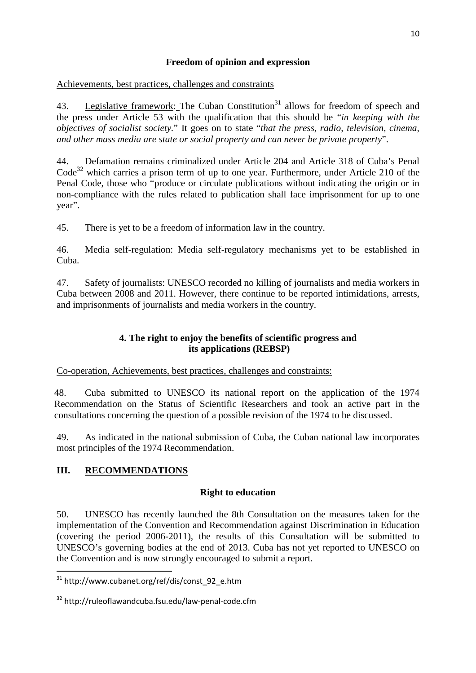## **Freedom of opinion and expression**

Achievements, best practices, challenges and constraints

43. Legislative framework: The Cuban Constitution<sup>31</sup> allows for freedom of speech and the press under Article 53 with the qualification that this should be "*in keeping with the objectives of socialist society.*" It goes on to state "*that the press, radio, television, cinema, and other mass media are state or social property and can never be private property*".

44. Defamation remains criminalized under Article 204 and Article 318 of Cuba's Penal  $Code<sup>32</sup>$  which carries a prison term of up to one year. Furthermore, under Article 210 of the Penal Code, those who "produce or circulate publications without indicating the origin or in non-compliance with the rules related to publication shall face imprisonment for up to one year".

45. There is yet to be a freedom of information law in the country.

46. Media self-regulation: Media self-regulatory mechanisms yet to be established in Cuba.

47. Safety of journalists: UNESCO recorded no killing of journalists and media workers in Cuba between 2008 and 2011. However, there continue to be reported intimidations, arrests, and imprisonments of journalists and media workers in the country.

## **4. The right to enjoy the benefits of scientific progress and its applications (REBSP)**

Co-operation, Achievements, best practices, challenges and constraints:

48. Cuba submitted to UNESCO its national report on the application of the 1974 Recommendation on the Status of Scientific Researchers and took an active part in the consultations concerning the question of a possible revision of the 1974 to be discussed.

49. As indicated in the national submission of Cuba, the Cuban national law incorporates most principles of the 1974 Recommendation.

# **III. RECOMMENDATIONS**

 $\overline{a}$ 

## **Right to education**

50. UNESCO has recently launched the 8th Consultation on the measures taken for the implementation of the Convention and Recommendation against Discrimination in Education (covering the period 2006-2011), the results of this Consultation will be submitted to UNESCO's governing bodies at the end of 2013. Cuba has not yet reported to UNESCO on the Convention and is now strongly encouraged to submit a report.

<sup>&</sup>lt;sup>31</sup> http://www.cubanet.org/ref/dis/const\_92\_e.htm

<sup>32</sup> http://ruleoflawandcuba.fsu.edu/law-penal-code.cfm